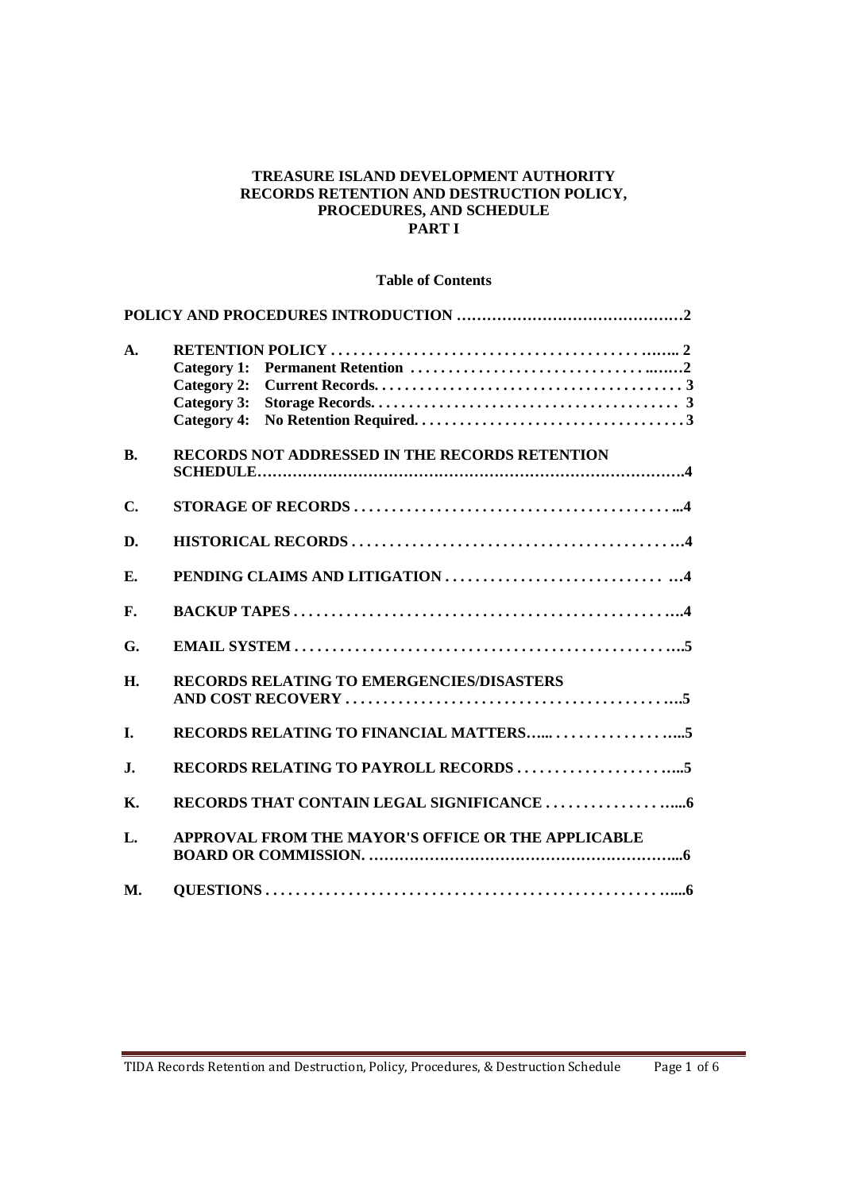#### **TREASURE ISLAND DEVELOPMENT AUTHORITY RECORDS RETENTION AND DESTRUCTION POLICY, PROCEDURES, AND SCHEDULE PART I**

### **Table of Contents**

| $\mathbf{A}$ . | <b>Category 2:</b><br><b>Category 3:</b><br><b>Category 4:</b> |
|----------------|----------------------------------------------------------------|
| <b>B.</b>      | RECORDS NOT ADDRESSED IN THE RECORDS RETENTION                 |
| C.             |                                                                |
| D.             |                                                                |
| E.             |                                                                |
| F.             |                                                                |
| G.             |                                                                |
| H.             | RECORDS RELATING TO EMERGENCIES/DISASTERS                      |
| I.             |                                                                |
| J.             |                                                                |
| <b>K.</b>      |                                                                |
| L.             | APPROVAL FROM THE MAYOR'S OFFICE OR THE APPLICABLE             |
| <b>M.</b>      |                                                                |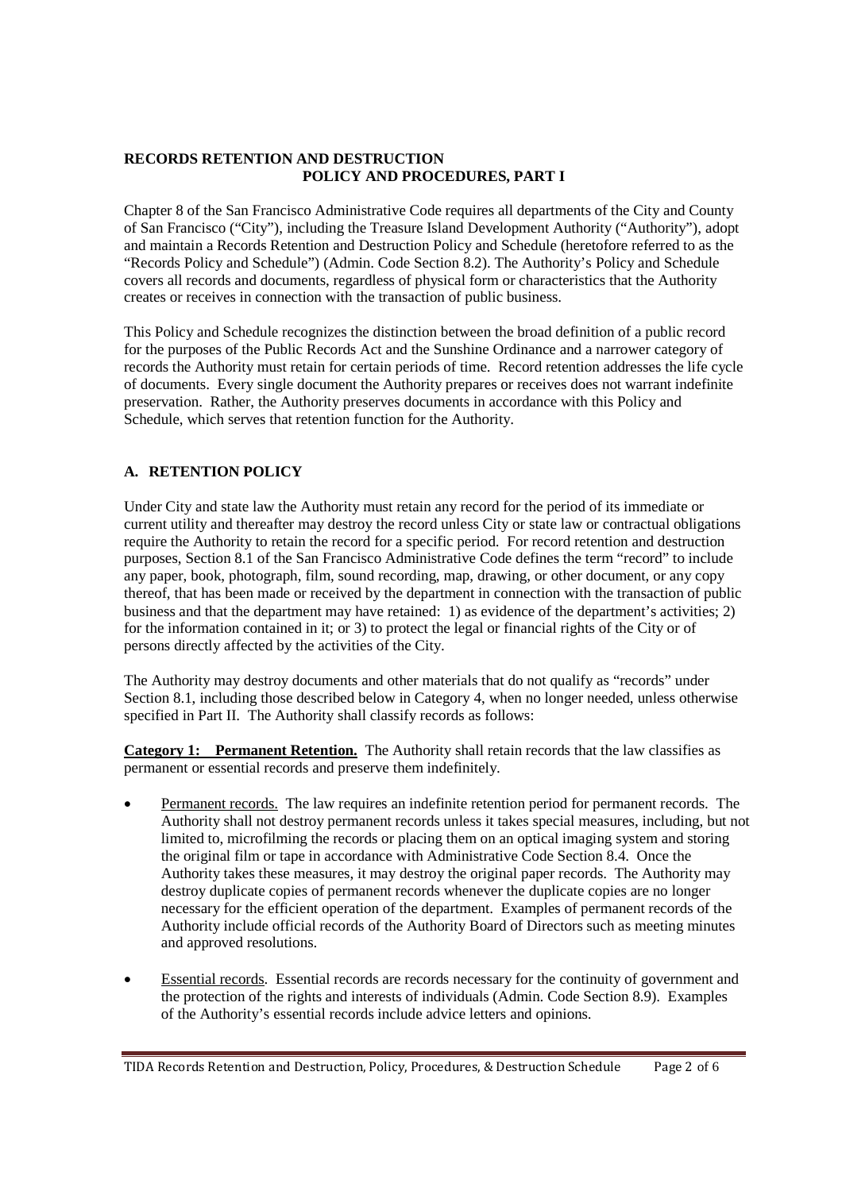### **RECORDS RETENTION AND DESTRUCTION POLICY AND PROCEDURES, PART I**

Chapter 8 of the San Francisco Administrative Code requires all departments of the City and County of San Francisco ("City"), including the Treasure Island Development Authority ("Authority"), adopt and maintain a Records Retention and Destruction Policy and Schedule (heretofore referred to as the "Records Policy and Schedule") (Admin. Code Section 8.2). The Authority's Policy and Schedule covers all records and documents, regardless of physical form or characteristics that the Authority creates or receives in connection with the transaction of public business.

This Policy and Schedule recognizes the distinction between the broad definition of a public record for the purposes of the Public Records Act and the Sunshine Ordinance and a narrower category of records the Authority must retain for certain periods of time. Record retention addresses the life cycle of documents. Every single document the Authority prepares or receives does not warrant indefinite preservation. Rather, the Authority preserves documents in accordance with this Policy and Schedule, which serves that retention function for the Authority.

# **A. RETENTION POLICY**

Under City and state law the Authority must retain any record for the period of its immediate or current utility and thereafter may destroy the record unless City or state law or contractual obligations require the Authority to retain the record for a specific period. For record retention and destruction purposes, Section 8.1 of the San Francisco Administrative Code defines the term "record" to include any paper, book, photograph, film, sound recording, map, drawing, or other document, or any copy thereof, that has been made or received by the department in connection with the transaction of public business and that the department may have retained: 1) as evidence of the department's activities; 2) for the information contained in it; or 3) to protect the legal or financial rights of the City or of persons directly affected by the activities of the City.

The Authority may destroy documents and other materials that do not qualify as "records" under Section 8.1, including those described below in Category 4, when no longer needed, unless otherwise specified in Part II. The Authority shall classify records as follows:

**Category 1: Permanent Retention.** The Authority shall retain records that the law classifies as permanent or essential records and preserve them indefinitely.

- Permanent records. The law requires an indefinite retention period for permanent records. The Authority shall not destroy permanent records unless it takes special measures, including, but not limited to, microfilming the records or placing them on an optical imaging system and storing the original film or tape in accordance with Administrative Code Section 8.4. Once the Authority takes these measures, it may destroy the original paper records. The Authority may destroy duplicate copies of permanent records whenever the duplicate copies are no longer necessary for the efficient operation of the department. Examples of permanent records of the Authority include official records of the Authority Board of Directors such as meeting minutes and approved resolutions.
- Essential records. Essential records are records necessary for the continuity of government and the protection of the rights and interests of individuals (Admin. Code Section 8.9). Examples of the Authority's essential records include advice letters and opinions.

TIDA Records Retention and Destruction, Policy, Procedures, & Destruction Schedule Page 2 of 6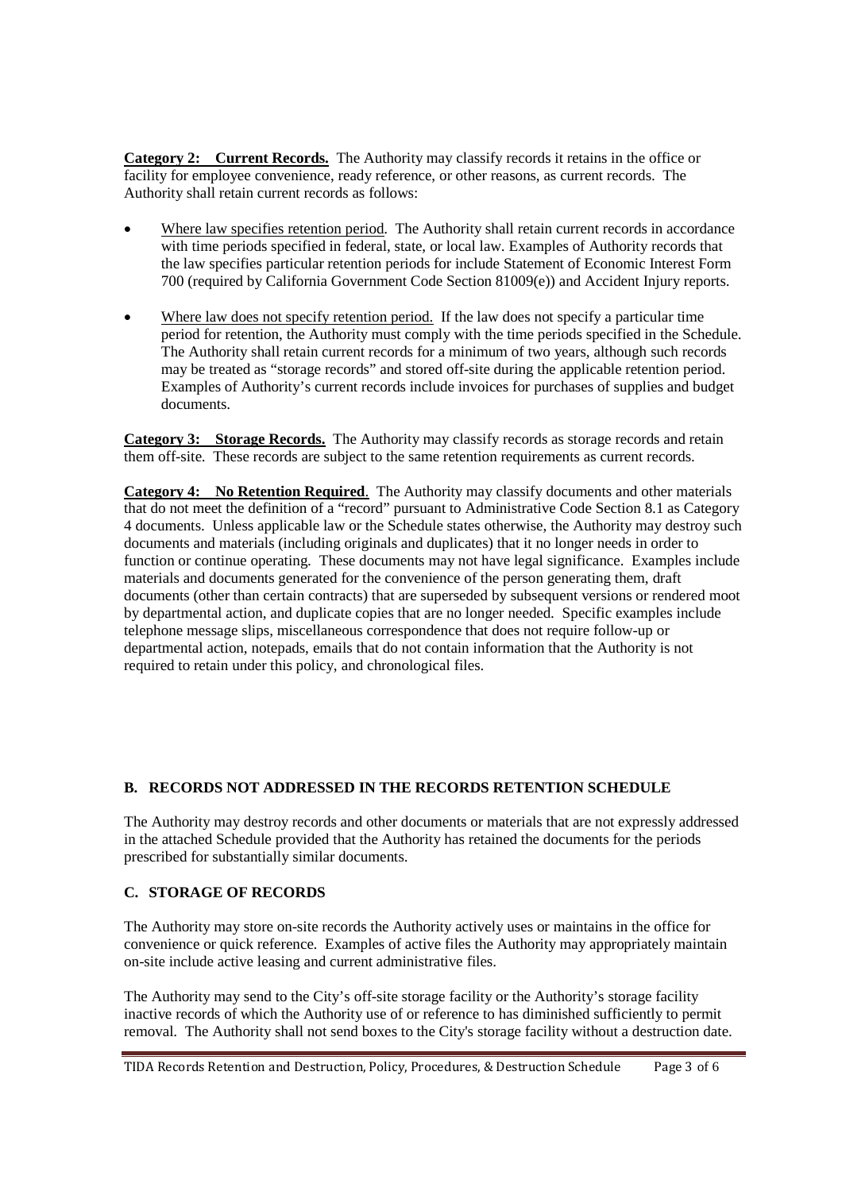**Category 2: Current Records.** The Authority may classify records it retains in the office or facility for employee convenience, ready reference, or other reasons, as current records. The Authority shall retain current records as follows:

- Where law specifies retention period. The Authority shall retain current records in accordance with time periods specified in federal, state, or local law. Examples of Authority records that the law specifies particular retention periods for include Statement of Economic Interest Form 700 (required by California Government Code Section 81009(e)) and Accident Injury reports.
- Where law does not specify retention period. If the law does not specify a particular time period for retention, the Authority must comply with the time periods specified in the Schedule. The Authority shall retain current records for a minimum of two years, although such records may be treated as "storage records" and stored off-site during the applicable retention period. Examples of Authority's current records include invoices for purchases of supplies and budget documents.

**Category 3: Storage Records.** The Authority may classify records as storage records and retain them off-site. These records are subject to the same retention requirements as current records.

**Category 4: No Retention Required**. The Authority may classify documents and other materials that do not meet the definition of a "record" pursuant to Administrative Code Section 8.1 as Category 4 documents. Unless applicable law or the Schedule states otherwise, the Authority may destroy such documents and materials (including originals and duplicates) that it no longer needs in order to function or continue operating. These documents may not have legal significance. Examples include materials and documents generated for the convenience of the person generating them, draft documents (other than certain contracts) that are superseded by subsequent versions or rendered moot by departmental action, and duplicate copies that are no longer needed. Specific examples include telephone message slips, miscellaneous correspondence that does not require follow-up or departmental action, notepads, emails that do not contain information that the Authority is not required to retain under this policy, and chronological files.

### **B. RECORDS NOT ADDRESSED IN THE RECORDS RETENTION SCHEDULE**

The Authority may destroy records and other documents or materials that are not expressly addressed in the attached Schedule provided that the Authority has retained the documents for the periods prescribed for substantially similar documents.

# **C. STORAGE OF RECORDS**

The Authority may store on-site records the Authority actively uses or maintains in the office for convenience or quick reference. Examples of active files the Authority may appropriately maintain on-site include active leasing and current administrative files.

The Authority may send to the City's off-site storage facility or the Authority's storage facility inactive records of which the Authority use of or reference to has diminished sufficiently to permit removal. The Authority shall not send boxes to the City's storage facility without a destruction date.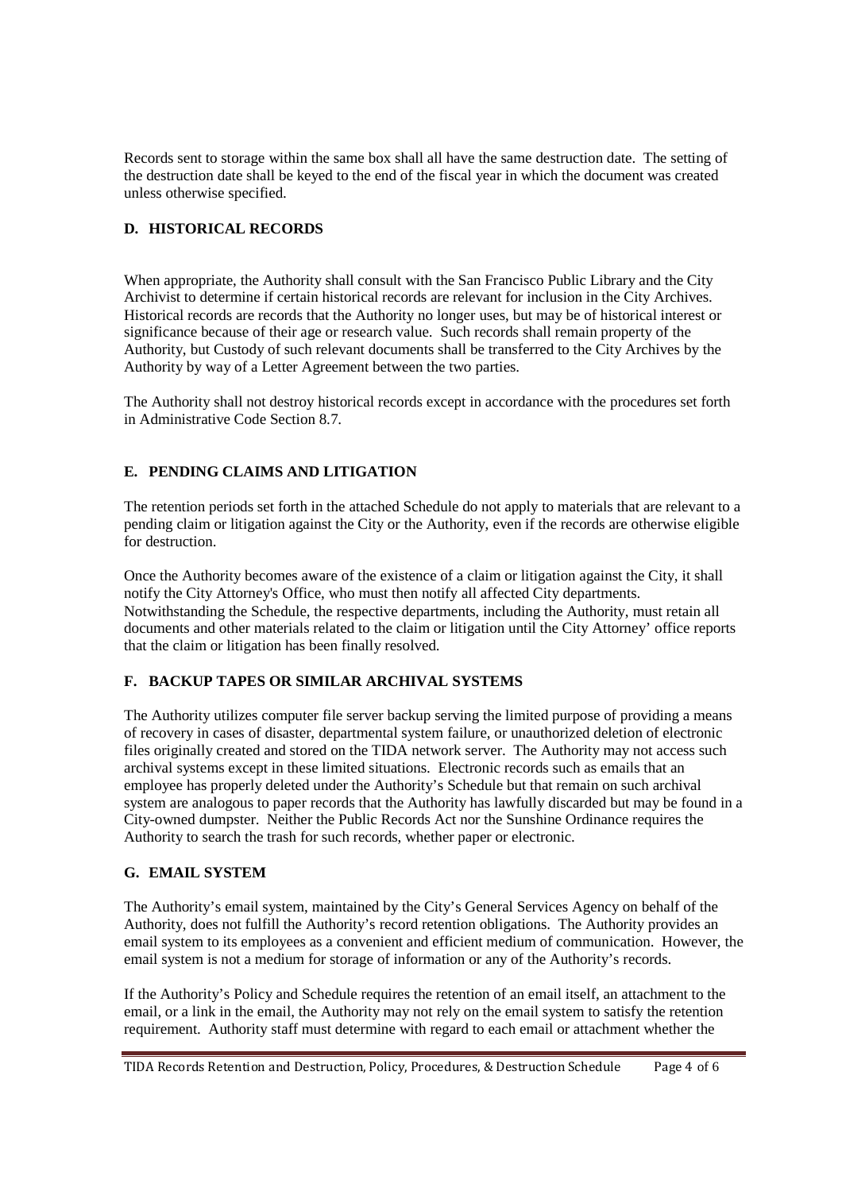Records sent to storage within the same box shall all have the same destruction date. The setting of the destruction date shall be keyed to the end of the fiscal year in which the document was created unless otherwise specified.

### **D. HISTORICAL RECORDS**

When appropriate, the Authority shall consult with the San Francisco Public Library and the City Archivist to determine if certain historical records are relevant for inclusion in the City Archives. Historical records are records that the Authority no longer uses, but may be of historical interest or significance because of their age or research value. Such records shall remain property of the Authority, but Custody of such relevant documents shall be transferred to the City Archives by the Authority by way of a Letter Agreement between the two parties.

The Authority shall not destroy historical records except in accordance with the procedures set forth in Administrative Code Section 8.7.

# **E. PENDING CLAIMS AND LITIGATION**

The retention periods set forth in the attached Schedule do not apply to materials that are relevant to a pending claim or litigation against the City or the Authority, even if the records are otherwise eligible for destruction.

Once the Authority becomes aware of the existence of a claim or litigation against the City, it shall notify the City Attorney's Office, who must then notify all affected City departments. Notwithstanding the Schedule, the respective departments, including the Authority, must retain all documents and other materials related to the claim or litigation until the City Attorney' office reports that the claim or litigation has been finally resolved.

### **F. BACKUP TAPES OR SIMILAR ARCHIVAL SYSTEMS**

The Authority utilizes computer file server backup serving the limited purpose of providing a means of recovery in cases of disaster, departmental system failure, or unauthorized deletion of electronic files originally created and stored on the TIDA network server. The Authority may not access such archival systems except in these limited situations. Electronic records such as emails that an employee has properly deleted under the Authority's Schedule but that remain on such archival system are analogous to paper records that the Authority has lawfully discarded but may be found in a City-owned dumpster. Neither the Public Records Act nor the Sunshine Ordinance requires the Authority to search the trash for such records, whether paper or electronic.

#### **G. EMAIL SYSTEM**

The Authority's email system, maintained by the City's General Services Agency on behalf of the Authority, does not fulfill the Authority's record retention obligations. The Authority provides an email system to its employees as a convenient and efficient medium of communication. However, the email system is not a medium for storage of information or any of the Authority's records.

If the Authority's Policy and Schedule requires the retention of an email itself, an attachment to the email, or a link in the email, the Authority may not rely on the email system to satisfy the retention requirement. Authority staff must determine with regard to each email or attachment whether the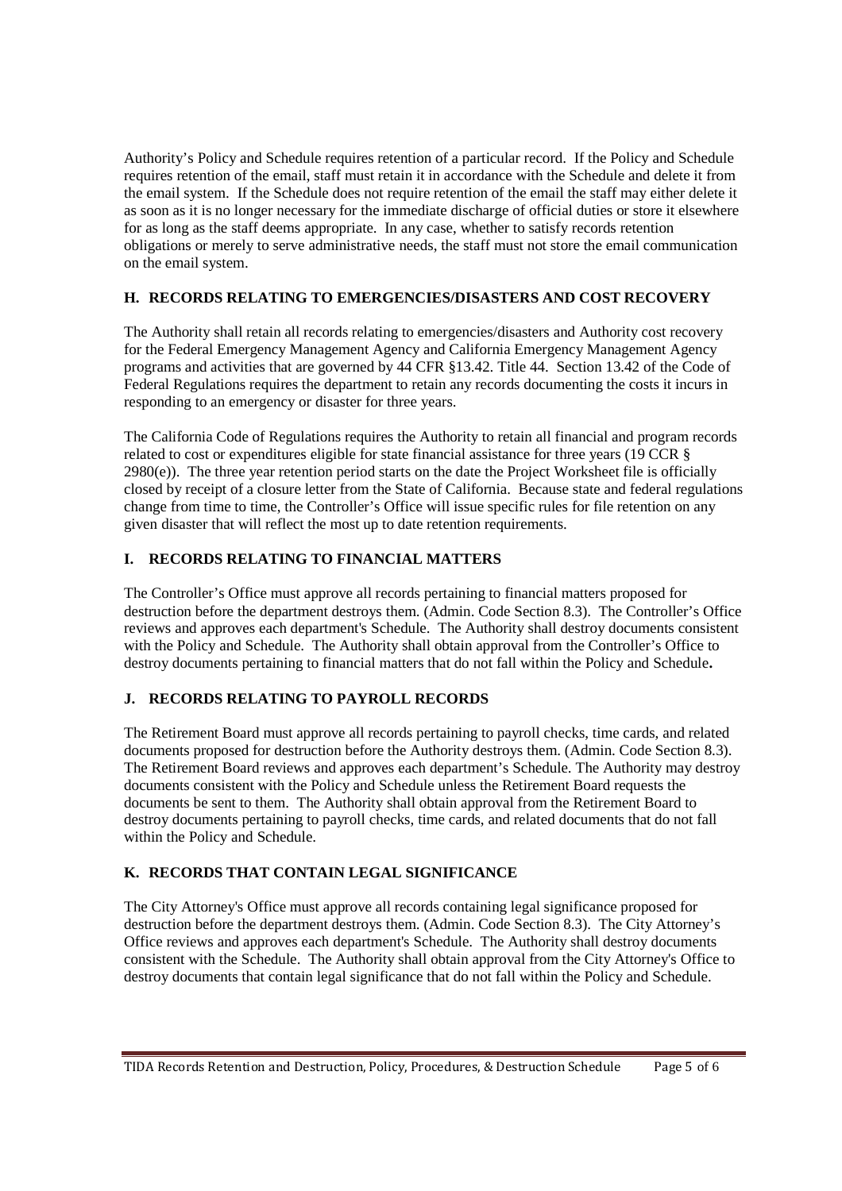Authority's Policy and Schedule requires retention of a particular record. If the Policy and Schedule requires retention of the email, staff must retain it in accordance with the Schedule and delete it from the email system. If the Schedule does not require retention of the email the staff may either delete it as soon as it is no longer necessary for the immediate discharge of official duties or store it elsewhere for as long as the staff deems appropriate. In any case, whether to satisfy records retention obligations or merely to serve administrative needs, the staff must not store the email communication on the email system.

### **H. RECORDS RELATING TO EMERGENCIES/DISASTERS AND COST RECOVERY**

The Authority shall retain all records relating to emergencies/disasters and Authority cost recovery for the Federal Emergency Management Agency and California Emergency Management Agency programs and activities that are governed by 44 CFR §13.42. Title 44. Section 13.42 of the Code of Federal Regulations requires the department to retain any records documenting the costs it incurs in responding to an emergency or disaster for three years.

The California Code of Regulations requires the Authority to retain all financial and program records related to cost or expenditures eligible for state financial assistance for three years (19 CCR § 2980(e)). The three year retention period starts on the date the Project Worksheet file is officially closed by receipt of a closure letter from the State of California. Because state and federal regulations change from time to time, the Controller's Office will issue specific rules for file retention on any given disaster that will reflect the most up to date retention requirements.

# **I. RECORDS RELATING TO FINANCIAL MATTERS**

The Controller's Office must approve all records pertaining to financial matters proposed for destruction before the department destroys them. (Admin. Code Section 8.3). The Controller's Office reviews and approves each department's Schedule. The Authority shall destroy documents consistent with the Policy and Schedule. The Authority shall obtain approval from the Controller's Office to destroy documents pertaining to financial matters that do not fall within the Policy and Schedule**.**

### **J. RECORDS RELATING TO PAYROLL RECORDS**

The Retirement Board must approve all records pertaining to payroll checks, time cards, and related documents proposed for destruction before the Authority destroys them. (Admin. Code Section 8.3). The Retirement Board reviews and approves each department's Schedule. The Authority may destroy documents consistent with the Policy and Schedule unless the Retirement Board requests the documents be sent to them. The Authority shall obtain approval from the Retirement Board to destroy documents pertaining to payroll checks, time cards, and related documents that do not fall within the Policy and Schedule.

### **K. RECORDS THAT CONTAIN LEGAL SIGNIFICANCE**

The City Attorney's Office must approve all records containing legal significance proposed for destruction before the department destroys them. (Admin. Code Section 8.3). The City Attorney's Office reviews and approves each department's Schedule. The Authority shall destroy documents consistent with the Schedule. The Authority shall obtain approval from the City Attorney's Office to destroy documents that contain legal significance that do not fall within the Policy and Schedule.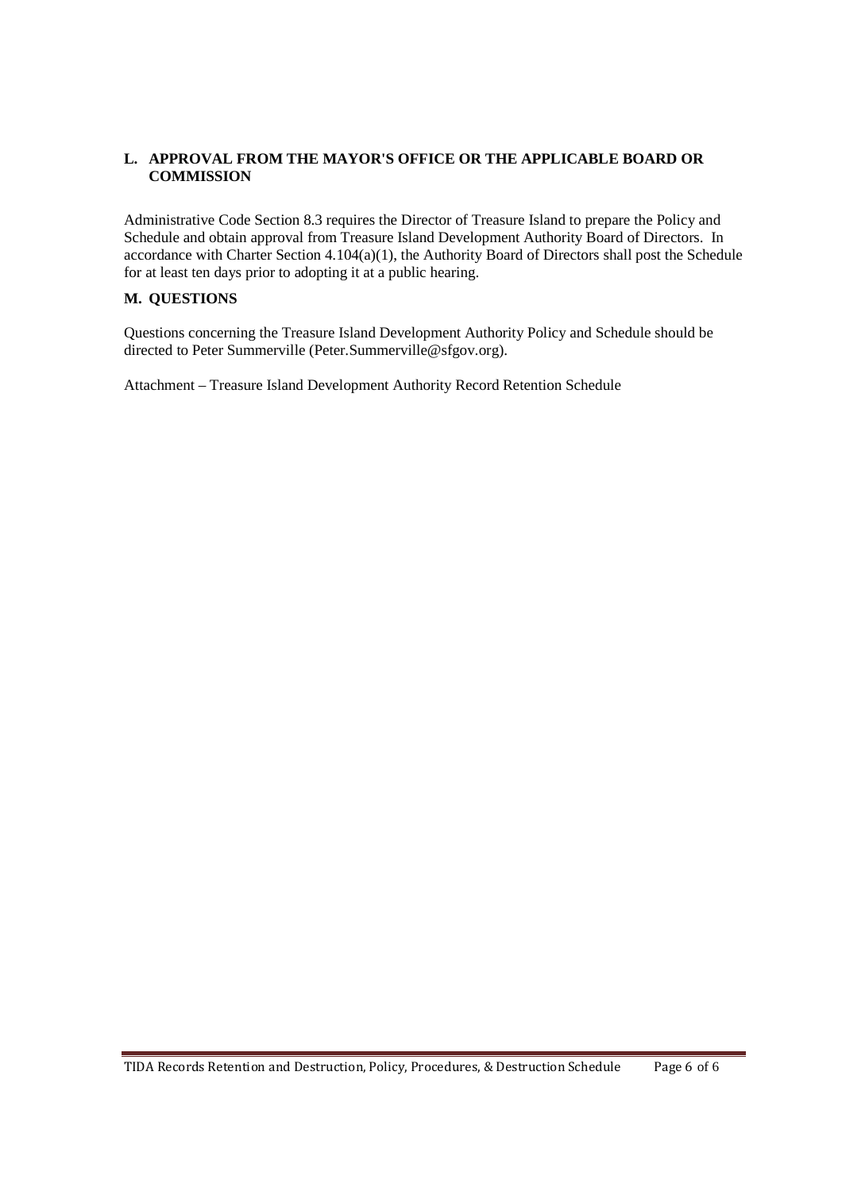### **L. APPROVAL FROM THE MAYOR'S OFFICE OR THE APPLICABLE BOARD OR COMMISSION**

Administrative Code Section 8.3 requires the Director of Treasure Island to prepare the Policy and Schedule and obtain approval from Treasure Island Development Authority Board of Directors. In accordance with Charter Section 4.104(a)(1), the Authority Board of Directors shall post the Schedule for at least ten days prior to adopting it at a public hearing.

### **M. QUESTIONS**

Questions concerning the Treasure Island Development Authority Policy and Schedule should be directed to Peter Summerville (Peter.Summerville@sfgov.org).

Attachment – Treasure Island Development Authority Record Retention Schedule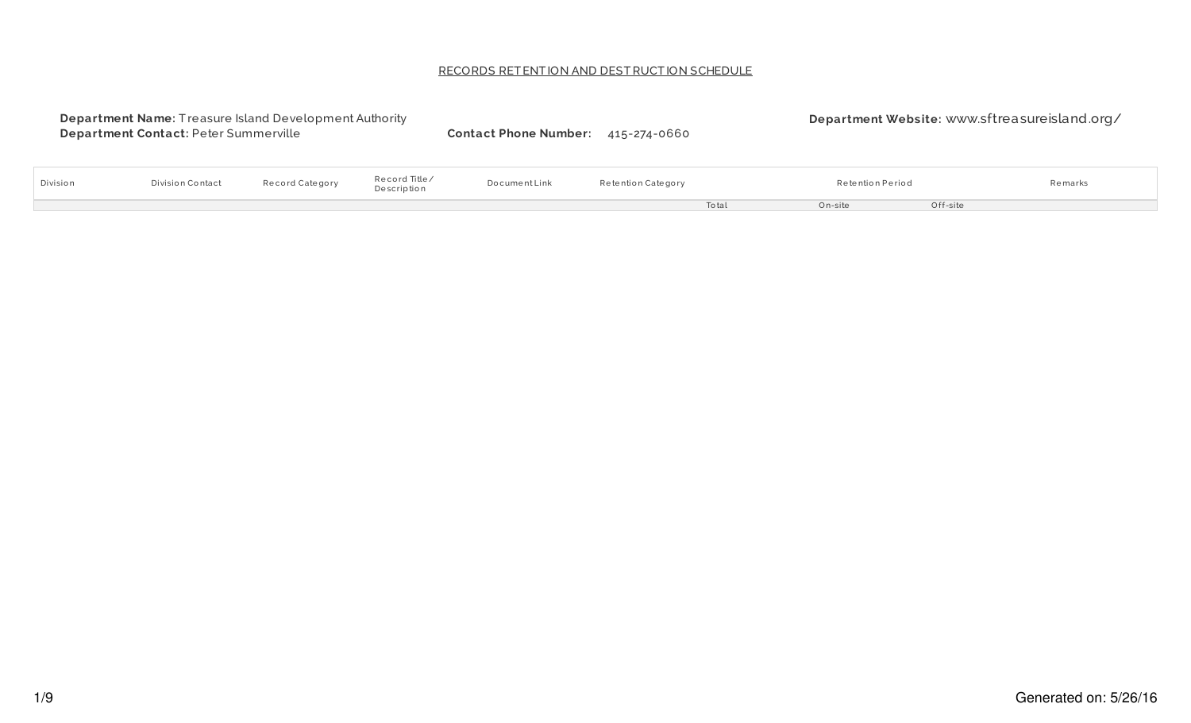# RECORDS RET ENT ION AND DESTRUCT ION SCHEDULE

|          | <b>Department Name: Treasure Island Development Authority</b><br>Department Contact: Peter Summerville |                 |                              | <b>Contact Phone Number:</b> | 415-274-0660       |       |                  |          | Department Website: www.sftreasureisland.org/ |  |
|----------|--------------------------------------------------------------------------------------------------------|-----------------|------------------------------|------------------------------|--------------------|-------|------------------|----------|-----------------------------------------------|--|
| Division | Division Contact                                                                                       | Record Category | Record Title/<br>Description | DocumentLink                 | Retention Category |       | Retention Period |          | Remarks                                       |  |
|          |                                                                                                        |                 |                              |                              |                    | Total | On-site          | Off-site |                                               |  |
|          |                                                                                                        |                 |                              |                              |                    |       |                  |          |                                               |  |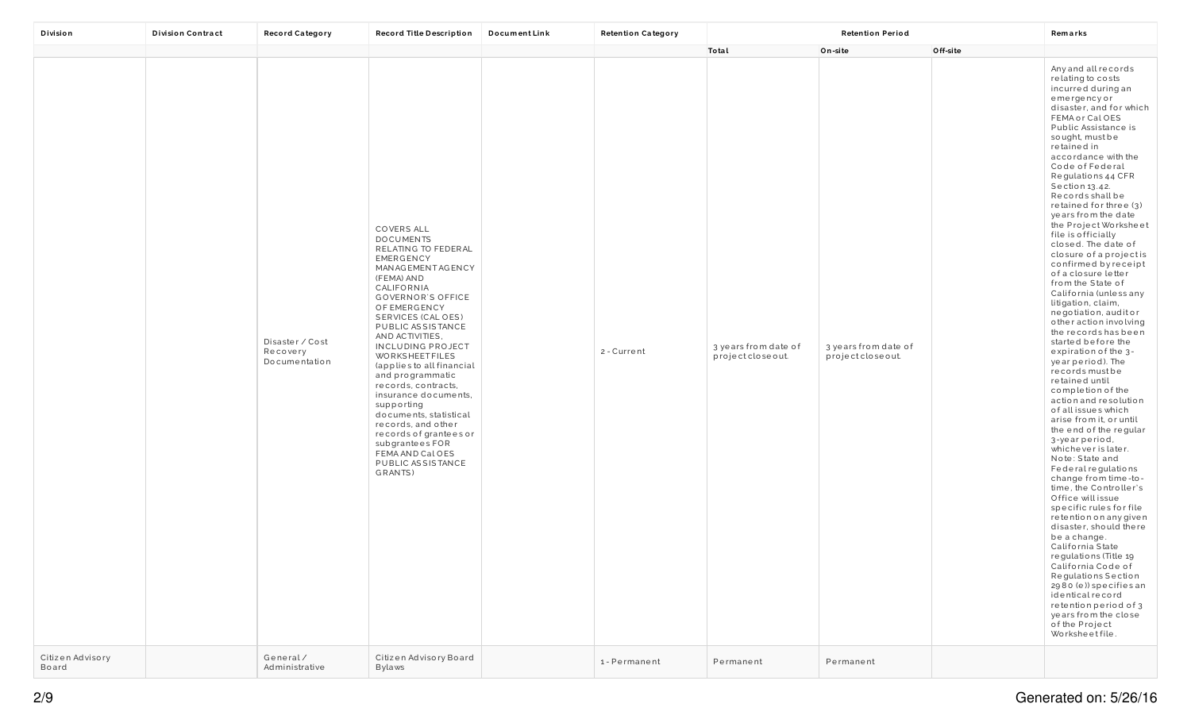| Division                  | <b>Division Contract</b> | <b>Record Category</b>                       | Record Title Description                                                                                                                                                                                                                                                                                                                                                                                                                                                                                                                                | DocumentLink | <b>Retention Category</b> | <b>Retention Period</b>                    |                                            | Remarks  |                                                                                                                                                                                                                                                                                                                                                                                                                                                                                                                                                                                                                                                                                                                                                                                                                                                                                                                                                                                                                                                                                                                                                                                                                                                                                                                                                                     |
|---------------------------|--------------------------|----------------------------------------------|---------------------------------------------------------------------------------------------------------------------------------------------------------------------------------------------------------------------------------------------------------------------------------------------------------------------------------------------------------------------------------------------------------------------------------------------------------------------------------------------------------------------------------------------------------|--------------|---------------------------|--------------------------------------------|--------------------------------------------|----------|---------------------------------------------------------------------------------------------------------------------------------------------------------------------------------------------------------------------------------------------------------------------------------------------------------------------------------------------------------------------------------------------------------------------------------------------------------------------------------------------------------------------------------------------------------------------------------------------------------------------------------------------------------------------------------------------------------------------------------------------------------------------------------------------------------------------------------------------------------------------------------------------------------------------------------------------------------------------------------------------------------------------------------------------------------------------------------------------------------------------------------------------------------------------------------------------------------------------------------------------------------------------------------------------------------------------------------------------------------------------|
|                           |                          |                                              |                                                                                                                                                                                                                                                                                                                                                                                                                                                                                                                                                         |              |                           | Total                                      | On-site                                    | Off-site |                                                                                                                                                                                                                                                                                                                                                                                                                                                                                                                                                                                                                                                                                                                                                                                                                                                                                                                                                                                                                                                                                                                                                                                                                                                                                                                                                                     |
|                           |                          | Disaster / Cost<br>Recovery<br>Documentation | COVERS ALL<br><b>DOCUMENTS</b><br>RELATING TO FEDERAL<br><b>EMERGENCY</b><br>MANAGEMENTAGENCY<br>(FEMA) AND<br>CALIFORNIA<br><b>GOVERNOR'S OFFICE</b><br>OF EMERGENCY<br>SERVICES (CAL OES)<br>PUBLIC ASSISTANCE<br>AND ACTIVITIES,<br><b>INCLUDING PROJECT</b><br><b>WORKSHEETFILES</b><br>(applies to all financial<br>and programmatic<br>records, contracts,<br>insurance documents,<br>supporting<br>documents, statistical<br>records, and other<br>records of grantees or<br>subgrantees FOR<br>FEMA AND Cal OES<br>PUBLIC ASSISTANCE<br>GRANTS) |              | 2 - Current               | 3 years from date of<br>project close out. | 3 years from date of<br>project close out. |          | Any and all records<br>relating to costs<br>incurred during an<br>emergencyor<br>disaster, and for which<br>FEMA or Cal OES<br>Public Assistance is<br>sought, must be<br>retained in<br>accordance with the<br>Code of Federal<br>Regulations 44 CFR<br>Section 13.42.<br>Records shall be<br>retained for three (3)<br>years from the date<br>the Project Worksheet<br>file is officially<br>closed. The date of<br>closure of a projectis<br>confirmed by receipt<br>of a closure letter<br>from the State of<br>California (unless any<br>litigation, claim,<br>negotiation, auditor<br>o ther action involving<br>the records has been<br>started before the<br>expiration of the 3-<br>year period). The<br>records must be<br>retained until<br>completion of the<br>action and resolution<br>of all issues which<br>arise from it, or until<br>the end of the regular<br>3-year period,<br>whichever is later.<br>Note: State and<br>Federal regulations<br>change from time-to-<br>time, the Controller's<br>Office will issue<br>specific rules for file<br>retention on any given<br>disaster, should there<br>be a change.<br>California State<br>regulations (Title 19<br>California Code of<br>Regulations Section<br>2980 (e)) specifies an<br>identical record<br>retention period of 3<br>years from the close<br>of the Project<br>Worksheetfile. |
| Citizen Advisory<br>Board |                          | General/<br>Administrative                   | Citizen Advisory Board<br>Bylaws                                                                                                                                                                                                                                                                                                                                                                                                                                                                                                                        |              | 1-Permanent               | Permanent                                  | Permanent                                  |          |                                                                                                                                                                                                                                                                                                                                                                                                                                                                                                                                                                                                                                                                                                                                                                                                                                                                                                                                                                                                                                                                                                                                                                                                                                                                                                                                                                     |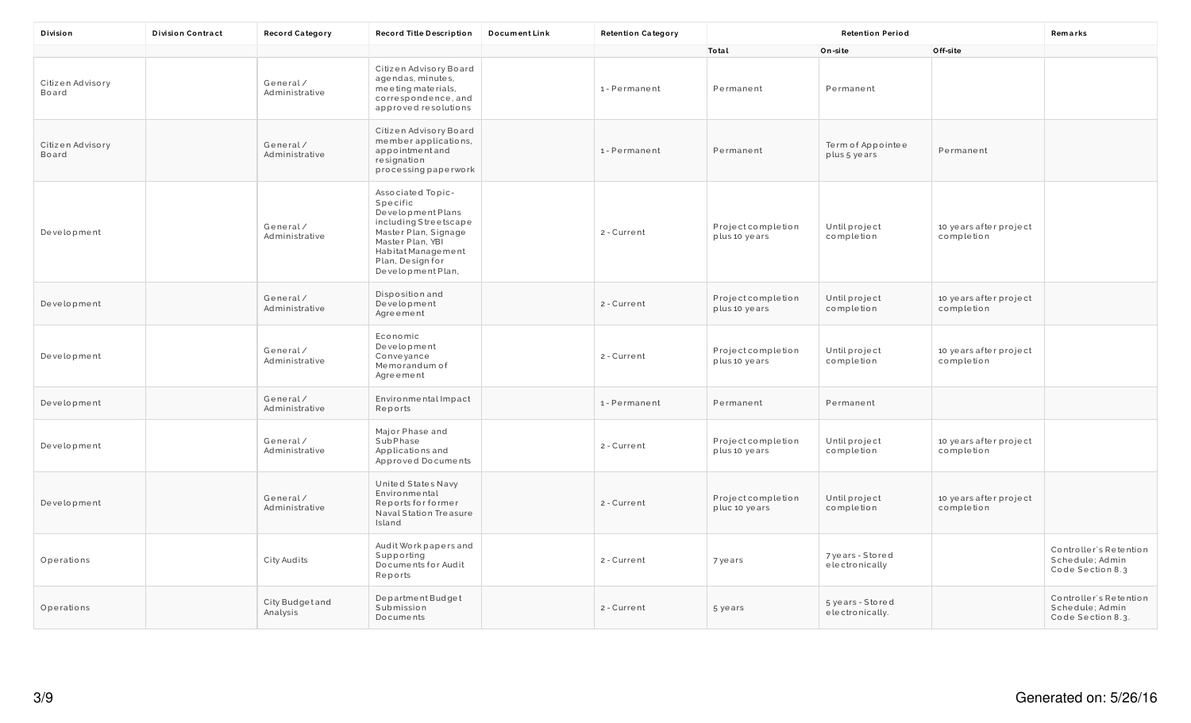| Division                  | <b>Division Contract</b> | <b>Record Category</b>      | Record Title Description                                                                                                                                                               | Document Link | <b>Retention Category</b> |                                    | <b>Retention Period</b>             |                                      | Remarks                                                        |
|---------------------------|--------------------------|-----------------------------|----------------------------------------------------------------------------------------------------------------------------------------------------------------------------------------|---------------|---------------------------|------------------------------------|-------------------------------------|--------------------------------------|----------------------------------------------------------------|
|                           |                          |                             |                                                                                                                                                                                        |               |                           | Total                              | On-site                             | Off-site                             |                                                                |
| Citizen Advisory<br>Board |                          | General/<br>Administrative  | Citizen Advisory Board<br>agendas, minutes,<br>meeting materials,<br>correspondence, and<br>approved resolutions                                                                       |               | 1-Permanent               | Permanent                          | Permanent                           |                                      |                                                                |
| Citizen Advisory<br>Board |                          | General/<br>Administrative  | Citizen Advisory Board<br>member applications,<br>appointmentand<br>resignation<br>processing paperwork                                                                                |               | 1-Permanent               | Permanent                          | Term of Appointee<br>plus 5 years   | Permanent                            |                                                                |
| Development               |                          | General/<br>Administrative  | Associated Topic-<br>Specific<br>Development Plans<br>including Streetscape<br>Master Plan, Signage<br>Master Plan, YBI<br>Habitat Management<br>Plan, Design for<br>Development Plan, |               | 2 - Current               | Projectcompletion<br>plus 10 years | Untilproject<br>completion          | 10 years after project<br>completion |                                                                |
| Development               |                          | General/<br>Administrative  | Disposition and<br>Development<br>Agreement                                                                                                                                            |               | 2 - Current               | Projectcompletion<br>plus 10 years | Untilproject<br>completion          | 10 years after project<br>completion |                                                                |
| Development               |                          | General/<br>Administrative  | Economic<br>Development<br>Conveyance<br>Memorandum of<br>Agreement                                                                                                                    |               | 2 - Current               | Projectcompletion<br>plus 10 years | Untilproject<br>completion          | 10 years after project<br>completion |                                                                |
| Development               |                          | General/<br>Administrative  | Environmental Impact<br>Reports                                                                                                                                                        |               | 1-Permanent               | Permanent                          | Permanent                           |                                      |                                                                |
| Development               |                          | General/<br>Administrative  | Major Phase and<br>SubPhase<br>Applications and<br>Approved Documents                                                                                                                  |               | 2 - Current               | Projectcompletion<br>plus 10 years | Untilproject<br>completion          | 10 years after project<br>completion |                                                                |
| Development               |                          | General/<br>Administrative  | United States Navy<br>Environmental<br>Reports for former<br>Naval Station Treasure<br>Island                                                                                          |               | 2 - Current               | Projectcompletion<br>pluc 10 years | Untilproject<br>completion          | 10 years after project<br>completion |                                                                |
| Operations                |                          | City Audits                 | Audit Work papers and<br>Supporting<br>Documents for Audit<br>Reports                                                                                                                  |               | 2 - Current               | 7 years                            | 7 years - Stored<br>electronically  |                                      | Controller's Retention<br>Schedule; Admin<br>Code Section 8.3  |
| Operations                |                          | City Budget and<br>Analysis | Department Budget<br>Submission<br>Documents                                                                                                                                           |               | 2 - Current               | 5 years                            | 5 years - Stored<br>electronically. |                                      | Controller's Retention<br>Schedule; Admin<br>Code Section 8.3. |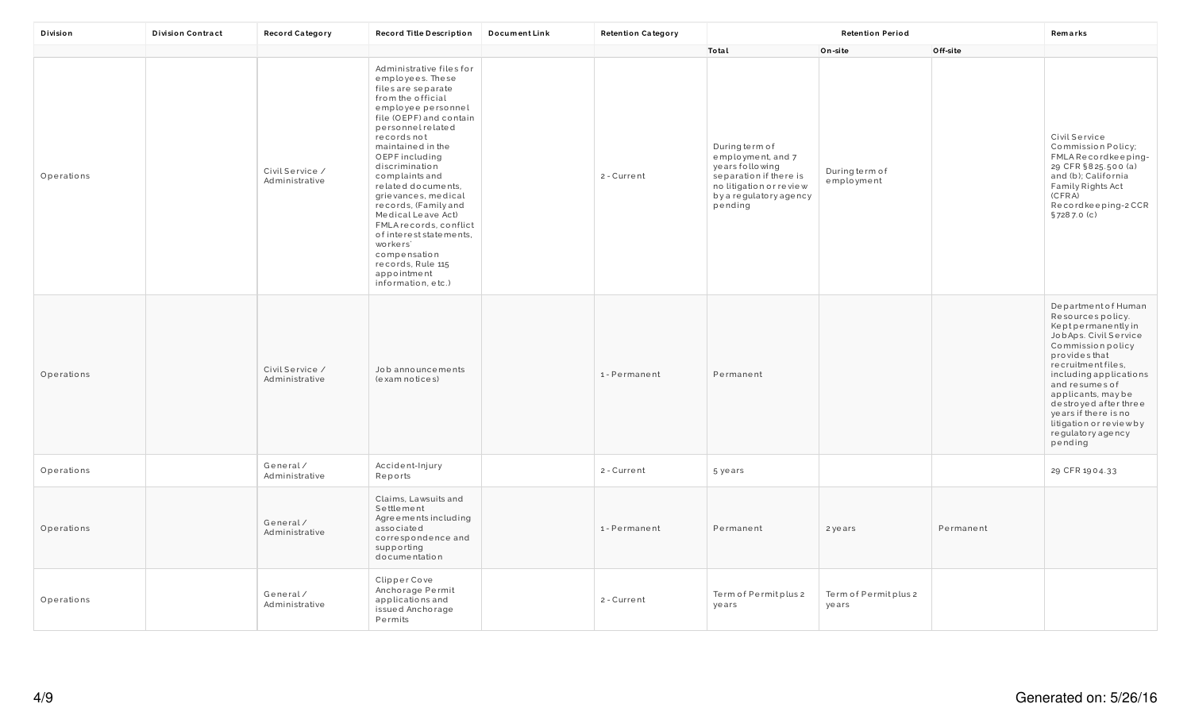| Division   | <b>Division Contract</b> | <b>Record Category</b>            | Record Title Description                                                                                                                                                                                                                                                                                                                                                                                                                                                                     | <b>DocumentLink</b> | <b>Retention Category</b> | <b>Retention Period</b>                                                                                                                          |                               |           | Remarks                                                                                                                                                                                                                                                                                                                          |
|------------|--------------------------|-----------------------------------|----------------------------------------------------------------------------------------------------------------------------------------------------------------------------------------------------------------------------------------------------------------------------------------------------------------------------------------------------------------------------------------------------------------------------------------------------------------------------------------------|---------------------|---------------------------|--------------------------------------------------------------------------------------------------------------------------------------------------|-------------------------------|-----------|----------------------------------------------------------------------------------------------------------------------------------------------------------------------------------------------------------------------------------------------------------------------------------------------------------------------------------|
|            |                          |                                   |                                                                                                                                                                                                                                                                                                                                                                                                                                                                                              |                     |                           | Total                                                                                                                                            | On-site                       | Off-site  |                                                                                                                                                                                                                                                                                                                                  |
| Operations |                          | Civil Service /<br>Administrative | Administrative files for<br>employees. These<br>files are separate<br>from the official<br>employee personnel<br>file (OEPF) and contain<br>personnel related<br>recordsnot<br>maintained in the<br>OEPF including<br>discrimination<br>complaints and<br>related documents,<br>grievances, medical<br>records, (Family and<br>Medical Leave Act)<br>FMLA records, conflict<br>of interest statements.<br>workers'<br>compensation<br>records, Rule 115<br>appointment<br>information, etc.) |                     | 2 - Current               | During term of<br>employment, and 7<br>years following<br>separation if there is<br>no litigation or review<br>by a regulatory agency<br>pending | During term of<br>employment  |           | Civil Service<br>Commission Policy;<br>FMLARecordkeeping-<br>29 CFR §825.500 (a)<br>and (b); California<br>Family Rights Act<br>(CFRA)<br>Recordkeeping-2CCR<br>§7287.0 (c)                                                                                                                                                      |
| Operations |                          | Civil Service /<br>Administrative | Job announcements<br>(exam notices)                                                                                                                                                                                                                                                                                                                                                                                                                                                          |                     | 1-Permanent               | Permanent                                                                                                                                        |                               |           | Department of Human<br>Resources policy.<br>Keptpermanentlyin<br>JobAps. Civil Service<br>Commission policy<br>provides that<br>recruitment files,<br>including applications<br>and resumes of<br>applicants, may be<br>destroyed after three<br>years if there is no<br>litigation or review by<br>regulatory agency<br>pending |
| Operations |                          | General/<br>Administrative        | Accident-Injury<br>Reports                                                                                                                                                                                                                                                                                                                                                                                                                                                                   |                     | 2 - Current               | 5 years                                                                                                                                          |                               |           | 29 CFR 1904.33                                                                                                                                                                                                                                                                                                                   |
| Operations |                          | General/<br>Administrative        | Claims, Lawsuits and<br>Settlement<br>Agreements including<br>associated<br>correspondence and<br>supporting<br>documentation                                                                                                                                                                                                                                                                                                                                                                |                     | 1-Permanent               | Permanent                                                                                                                                        | 2 years                       | Permanent |                                                                                                                                                                                                                                                                                                                                  |
| Operations |                          | General/<br>Administrative        | Clipper Cove<br>Anchorage Permit<br>applications and<br>issued Anchorage<br>Permits                                                                                                                                                                                                                                                                                                                                                                                                          |                     | 2 - Current               | Term of Permitplus 2<br>years                                                                                                                    | Term of Permitplus 2<br>years |           |                                                                                                                                                                                                                                                                                                                                  |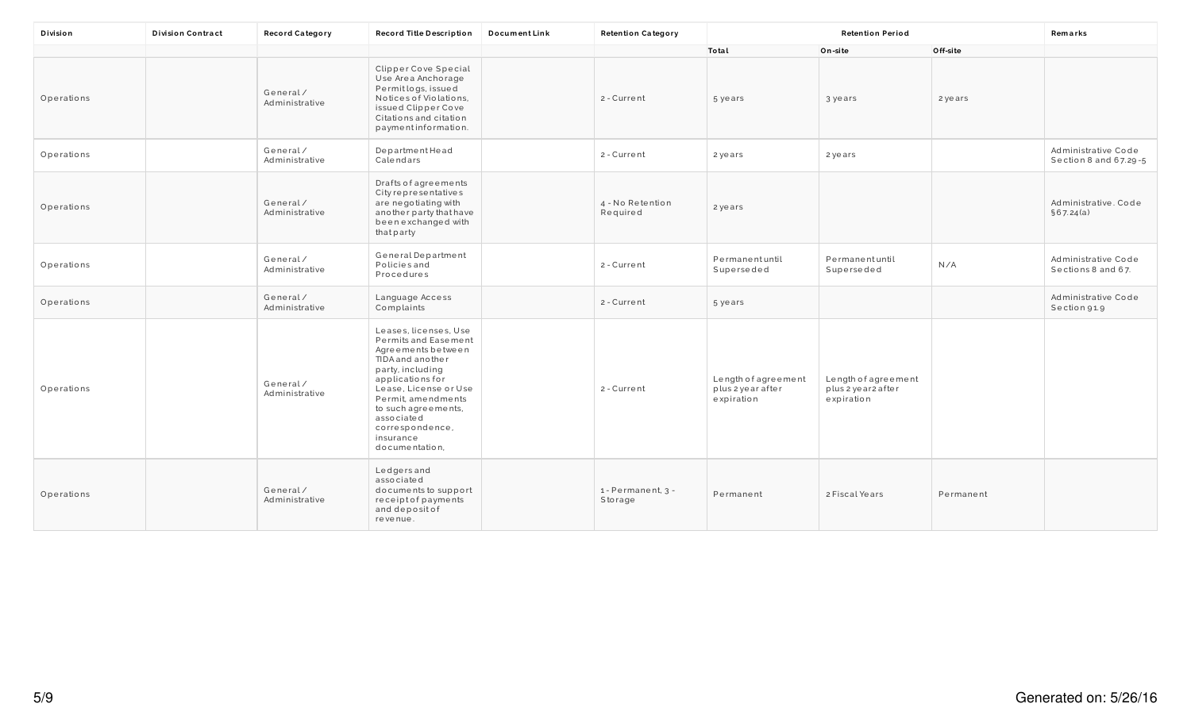| Division   | <b>Division Contract</b> | <b>Record Category</b>     | Record Title Description                                                                                                                                                                                                                                              | <b>DocumentLink</b> | <b>Retention Category</b>     |                                                        | <b>Retention Period</b>                                  |           | Remarks                                      |
|------------|--------------------------|----------------------------|-----------------------------------------------------------------------------------------------------------------------------------------------------------------------------------------------------------------------------------------------------------------------|---------------------|-------------------------------|--------------------------------------------------------|----------------------------------------------------------|-----------|----------------------------------------------|
|            |                          |                            |                                                                                                                                                                                                                                                                       |                     |                               | Total                                                  | On-site                                                  | Off-site  |                                              |
| Operations |                          | General/<br>Administrative | Clipper Cove Special<br>Use Area Anchorage<br>Permit logs, issued<br>Notices of Violations,<br>issued Clipper Cove<br>Citations and citation<br>paymentinformation.                                                                                                   |                     | 2 - Current                   | 5 years                                                | 3 years                                                  | 2 years   |                                              |
| Operations |                          | General/<br>Administrative | DepartmentHead<br>Calendars                                                                                                                                                                                                                                           |                     | 2 - Current                   | 2 years                                                | 2 years                                                  |           | Administrative Code<br>Section 8 and 67.29-5 |
| Operations |                          | General/<br>Administrative | Drafts of agreements<br>City representatives<br>are negotiating with<br>another party that have<br>been exchanged with<br>that party                                                                                                                                  |                     | 4 - No Retention<br>Required  | 2 years                                                |                                                          |           | Administrative. Code<br>\$67.24(a)           |
| Operations |                          | General/<br>Administrative | General Department<br><b>Policies</b> and<br>Procedures                                                                                                                                                                                                               |                     | 2 - Current                   | Permanentuntil<br>Superseded                           | Permanentuntil<br>Superseded                             | N/A       | Administrative Code<br>Sections 8 and 67.    |
| Operations |                          | General/<br>Administrative | Language Access<br>Complaints                                                                                                                                                                                                                                         |                     | 2 - Current                   | 5 years                                                |                                                          |           | Administrative Code<br>Section 91.9          |
| Operations |                          | General/<br>Administrative | Leases, licenses, Use<br>Permits and Easement<br>Agreements between<br>TIDA and another<br>party, including<br>applications for<br>Lease, License or Use<br>Permit, amendments<br>to such agreements,<br>associated<br>correspondence,<br>insurance<br>documentation, |                     | 2 - Current                   | Length of agreement<br>plus 2 year after<br>expiration | Length of agreement<br>plus 2 year 2 after<br>expiration |           |                                              |
| Operations |                          | General/<br>Administrative | Ledgers and<br>associated<br>documents to support<br>receiptofpayments<br>and deposit of<br>revenue.                                                                                                                                                                  |                     | 1 - Permanent, 3 -<br>Storage | Permanent                                              | 2 Fiscal Years                                           | Permanent |                                              |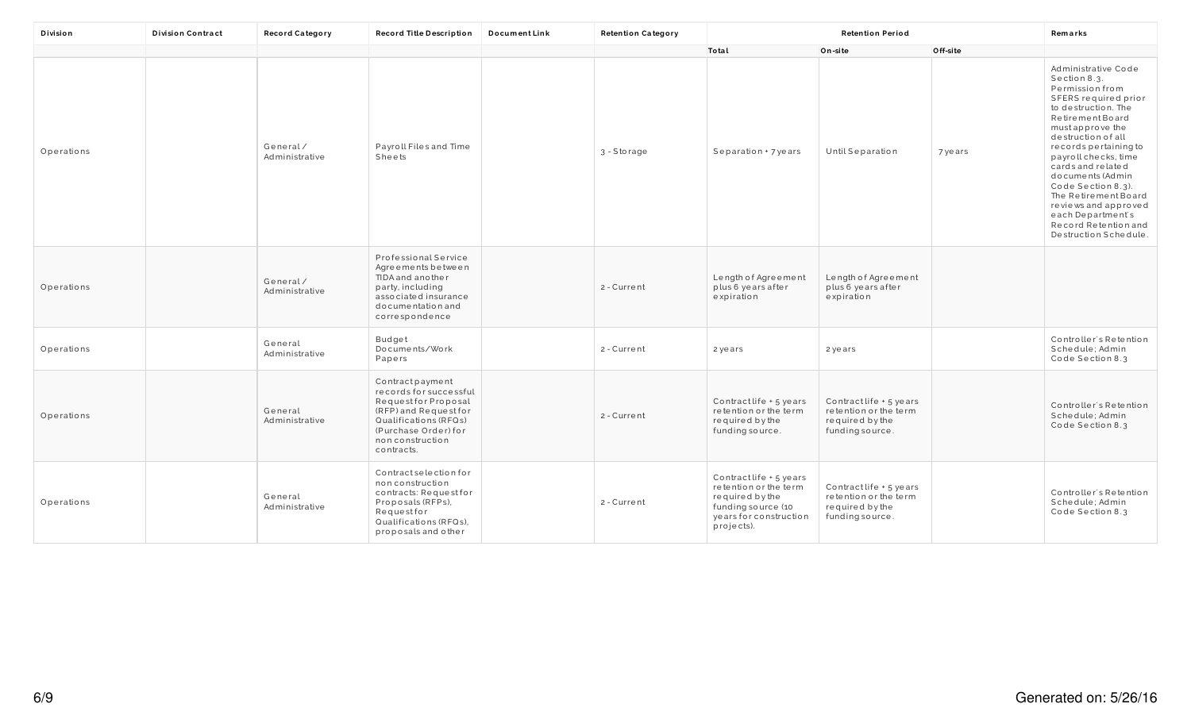| Division   | <b>Division Contract</b> | <b>Record Category</b>     | Record Title Description                                                                                                                                                      | <b>DocumentLink</b> | <b>Retention Category</b> |                                                                                                                                   | <b>Retention Period</b>                                                                |          | Remarks                                                                                                                                                                                                                                                                                                                                                                                                   |
|------------|--------------------------|----------------------------|-------------------------------------------------------------------------------------------------------------------------------------------------------------------------------|---------------------|---------------------------|-----------------------------------------------------------------------------------------------------------------------------------|----------------------------------------------------------------------------------------|----------|-----------------------------------------------------------------------------------------------------------------------------------------------------------------------------------------------------------------------------------------------------------------------------------------------------------------------------------------------------------------------------------------------------------|
|            |                          |                            |                                                                                                                                                                               |                     |                           | Total                                                                                                                             | On-site                                                                                | Off-site |                                                                                                                                                                                                                                                                                                                                                                                                           |
| Operations |                          | General/<br>Administrative | Payroll Files and Time<br>Sheets                                                                                                                                              |                     | 3 - Storage               | Separation + 7 years                                                                                                              | <b>Until Separation</b>                                                                | 7 years  | Administrative Code<br>Section 8.3.<br>Permission from<br>SFERS required prior<br>to destruction. The<br>Retirement Board<br>must approve the<br>destruction of all<br>records pertaining to<br>payroll checks, time<br>cards and related<br>documents (Admin<br>Code Section 8.3).<br>The Retirement Board<br>reviews and approved<br>each Department's<br>Record Retention and<br>Destruction Schedule. |
| Operations |                          | General/<br>Administrative | <b>Professional Service</b><br>Agreements between<br>TIDA and another<br>party, including<br>associated insurance<br>documentation and<br>correspondence                      |                     | 2 - Current               | Length of Agreement<br>plus 6 years after<br>expiration                                                                           | Length of Agreement<br>plus 6 years after<br>expiration                                |          |                                                                                                                                                                                                                                                                                                                                                                                                           |
| Operations |                          | General<br>Administrative  | Budget<br>Documents/Work<br>Papers                                                                                                                                            |                     | 2 - Current               | 2 years                                                                                                                           | 2 years                                                                                |          | Controller's Retention<br>Schedule; Admin<br>Code Section 8.3                                                                                                                                                                                                                                                                                                                                             |
| Operations |                          | General<br>Administrative  | Contract payment<br>records for successful<br>Requestfor Proposal<br>(RFP) and Request for<br>Qualifications (RFQs)<br>(Purchase Order) for<br>non construction<br>contracts. |                     | 2 - Current               | Contract life + 5 years<br>retention or the term<br>required by the<br>funding source.                                            | Contract life + 5 years<br>retention or the term<br>required by the<br>funding source. |          | Controller's Retention<br>Schedule; Admin<br>Code Section 8.3                                                                                                                                                                                                                                                                                                                                             |
| Operations |                          | General<br>Administrative  | Contract selection for<br>non construction<br>contracts: Request for<br>Proposals (RFPs),<br>Requestfor<br>Qualifications (RFQs),<br>proposals and other                      |                     | 2 - Current               | Contract life + 5 years<br>retention or the term<br>required by the<br>funding source (10<br>years for construction<br>projects). | Contractlife + 5 years<br>retention or the term<br>required by the<br>funding source.  |          | Controller's Retention<br>Schedule; Admin<br>Code Section 8.3                                                                                                                                                                                                                                                                                                                                             |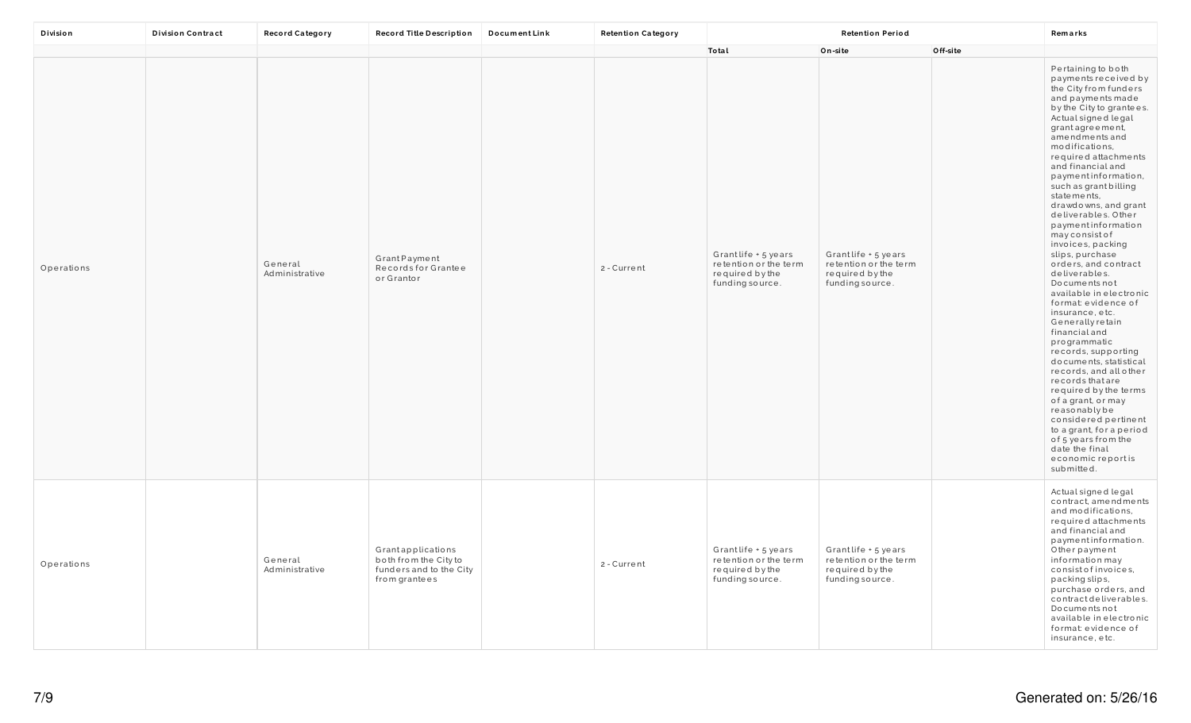| Division   | <b>Division Contract</b> | <b>Record Category</b>    | Record Title Description                                                               | <b>DocumentLink</b> | <b>Retention Category</b> | <b>Retention Period</b>                                                            |                                                                                    |          | Remarks                                                                                                                                                                                                                                                                                                                                                                                                                                                                                                                                                                                                                                                                                                                                                                                                                                                                                                                        |
|------------|--------------------------|---------------------------|----------------------------------------------------------------------------------------|---------------------|---------------------------|------------------------------------------------------------------------------------|------------------------------------------------------------------------------------|----------|--------------------------------------------------------------------------------------------------------------------------------------------------------------------------------------------------------------------------------------------------------------------------------------------------------------------------------------------------------------------------------------------------------------------------------------------------------------------------------------------------------------------------------------------------------------------------------------------------------------------------------------------------------------------------------------------------------------------------------------------------------------------------------------------------------------------------------------------------------------------------------------------------------------------------------|
|            |                          |                           |                                                                                        |                     |                           | Total                                                                              | On-site                                                                            | Off-site |                                                                                                                                                                                                                                                                                                                                                                                                                                                                                                                                                                                                                                                                                                                                                                                                                                                                                                                                |
| Operations |                          | General<br>Administrative | GrantPayment<br>Records for Grantee<br>or Grantor                                      |                     | 2 - Current               | Grantlife + 5 years<br>retention or the term<br>required by the<br>funding source. | Grantlife + 5 years<br>retention or the term<br>required by the<br>funding source. |          | Pertaining to both<br>payments received by<br>the City from funders<br>and payments made<br>by the City to grantees.<br>Actual signed legal<br>grant agreement,<br>amendments and<br>modifications,<br>required attachments<br>and financial and<br>paymentinformation,<br>such as grant billing<br>statements,<br>drawdowns, and grant<br>deliverables. Other<br>paymentinformation<br>mayconsistof<br>invoices, packing<br>slips, purchase<br>orders, and contract<br>deliverables.<br>Documents not<br>available in electronic<br>format: evidence of<br>insurance, etc.<br>Generally retain<br>financial and<br>programmatic<br>records, supporting<br>documents, statistical<br>records, and all other<br>records that are<br>required by the terms<br>of a grant, or may<br>reasonablybe<br>considered pertinent<br>to a grant, for a period<br>of 5 years from the<br>date the final<br>economic reportis<br>submitted. |
| Operations |                          | General<br>Administrative | Grantapplications<br>both from the City to<br>funders and to the City<br>from grantees |                     | 2 - Current               | Grantlife + 5 years<br>retention or the term<br>required by the<br>funding source. | Grantlife + 5 years<br>retention or the term<br>required by the<br>funding source. |          | Actual signed legal<br>contract, amendments<br>and modifications,<br>required attachments<br>and financial and<br>paymentinformation.<br>Otherpayment<br>information may<br>consist of invoices,<br>packing slips,<br>purchase orders, and<br>contract deliverables.<br>Documents not<br>available in electronic<br>format: evidence of<br>insurance, etc.                                                                                                                                                                                                                                                                                                                                                                                                                                                                                                                                                                     |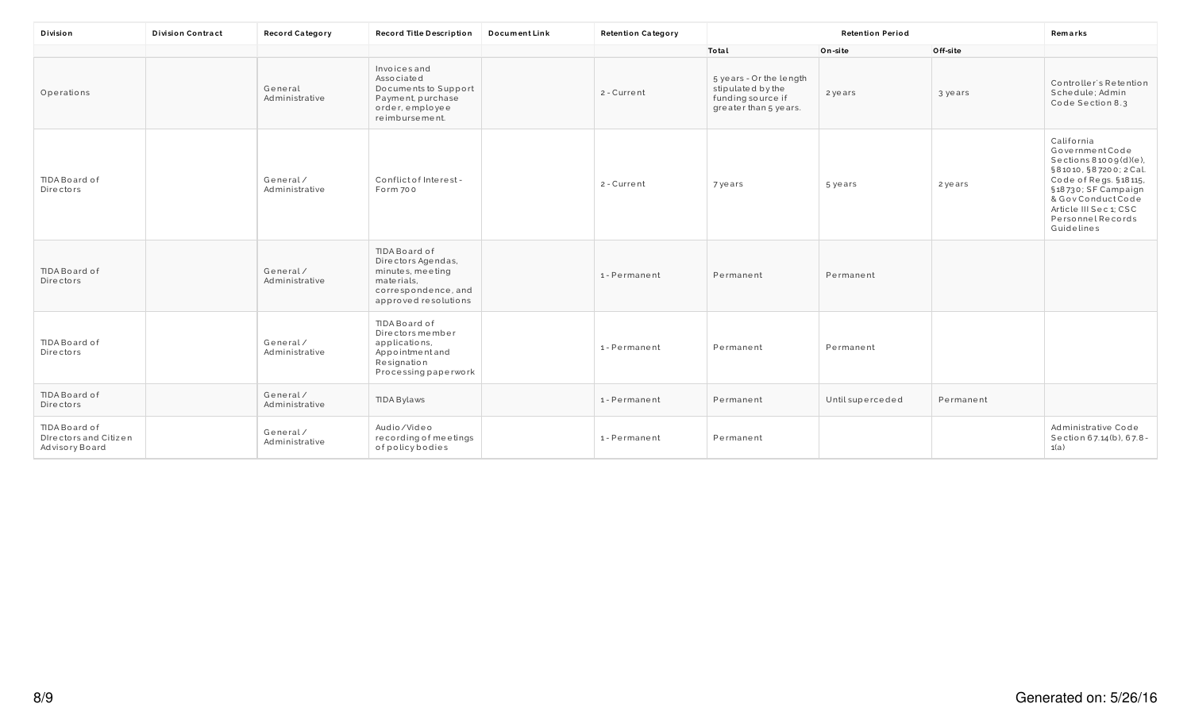| Division                                                 | <b>Division Contract</b> | <b>Record Category</b>     | Record Title Description                                                                                             | <b>DocumentLink</b> | <b>Retention Category</b> |                                                                                            | <b>Retention Period</b> |           | Remarks                                                                                                                                                                                                               |
|----------------------------------------------------------|--------------------------|----------------------------|----------------------------------------------------------------------------------------------------------------------|---------------------|---------------------------|--------------------------------------------------------------------------------------------|-------------------------|-----------|-----------------------------------------------------------------------------------------------------------------------------------------------------------------------------------------------------------------------|
|                                                          |                          |                            |                                                                                                                      |                     |                           | Total                                                                                      | On-site                 | Off-site  |                                                                                                                                                                                                                       |
| Operations                                               |                          | General<br>Administrative  | Invoices and<br>Associated<br>Documents to Support<br>Payment, purchase<br>order, employee<br>reimbursement.         |                     | 2 - Current               | 5 years - Or the length<br>stipulated by the<br>funding source if<br>greater than 5 years. | 2 years                 | 3 years   | Controller's Retention<br>Schedule; Admin<br>Code Section 8.3                                                                                                                                                         |
| TIDA Board of<br>Directors                               |                          | General/<br>Administrative | Conflict of Interest-<br>Form 700                                                                                    |                     | 2 - Current               | 7 years                                                                                    | 5 years                 | 2 years   | California<br>GovernmentCode<br>Sections $81009(d)(e)$ ,<br>§81010, §87200; 2 Cal.<br>Code of Regs. §18115,<br>§18730; SF Campaign<br>& Gov Conduct Code<br>Article III Sec 1; CSC<br>Personnel Records<br>Guidelines |
| TIDA Board of<br>Directors                               |                          | General/<br>Administrative | TIDA Board of<br>Directors Agendas,<br>minutes, meeting<br>materials,<br>correspondence, and<br>approved resolutions |                     | 1-Permanent               | Permanent                                                                                  | Permanent               |           |                                                                                                                                                                                                                       |
| TIDA Board of<br>Directors                               |                          | General/<br>Administrative | TIDA Board of<br>Directors member<br>applications,<br>Appointmentand<br>Resignation<br>Processing paperwork          |                     | 1-Permanent               | Permanent                                                                                  | Permanent               |           |                                                                                                                                                                                                                       |
| TIDA Board of<br>Directors                               |                          | General/<br>Administrative | TIDA Bylaws                                                                                                          |                     | 1-Permanent               | Permanent                                                                                  | Until superceded        | Permanent |                                                                                                                                                                                                                       |
| TIDA Board of<br>Directors and Citizen<br>Advisory Board |                          | General/<br>Administrative | Audio/Video<br>recording of meetings<br>ofpolicybodies                                                               |                     | 1-Permanent               | Permanent                                                                                  |                         |           | Administrative Code<br>Section 67.14(b), 67.8-<br>1(a)                                                                                                                                                                |